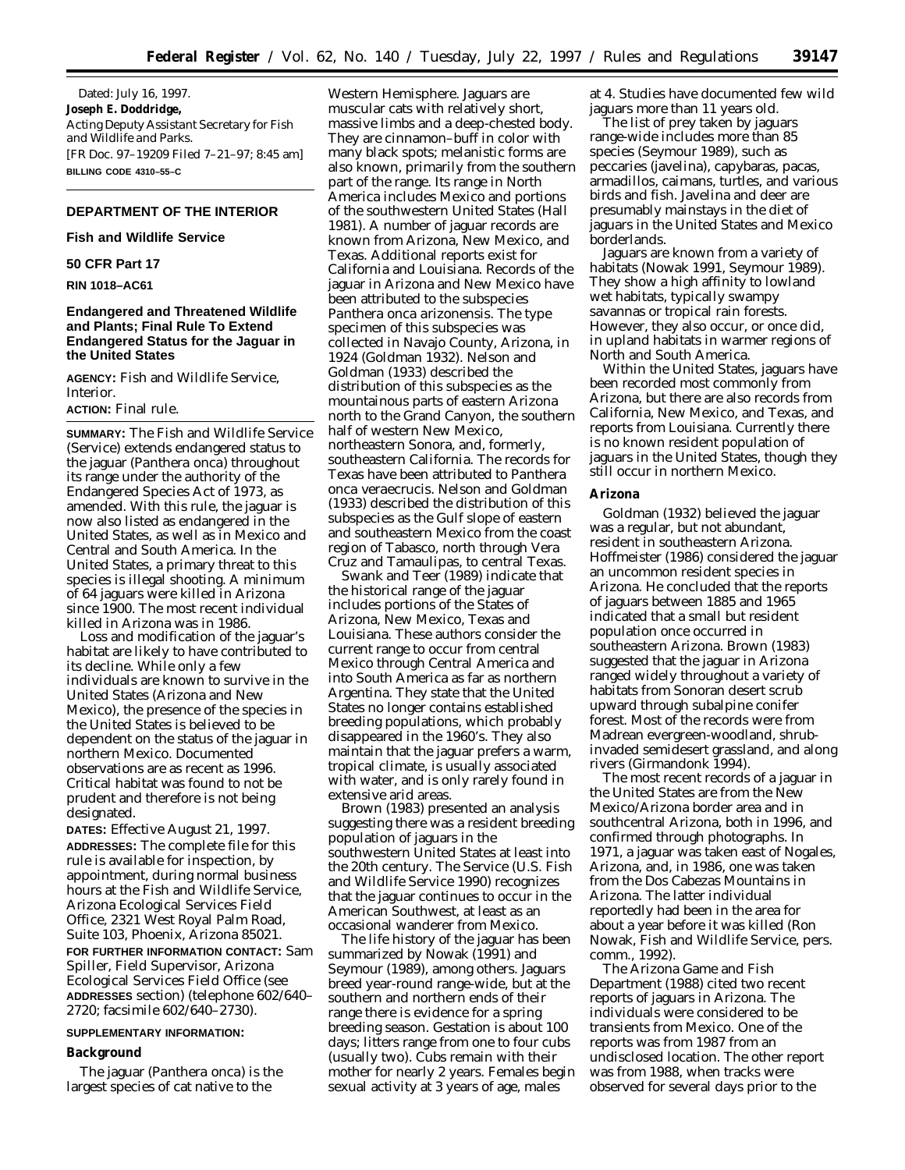Dated: July 16, 1997. **Joseph E. Doddridge,** *Acting Deputy Assistant Secretary for Fish and Wildlife and Parks.* [FR Doc. 97–19209 Filed 7–21–97; 8:45 am] **BILLING CODE 4310–55–C**

# **DEPARTMENT OF THE INTERIOR**

#### **Fish and Wildlife Service**

# **50 CFR Part 17**

#### **RIN 1018–AC61**

# **Endangered and Threatened Wildlife and Plants; Final Rule To Extend Endangered Status for the Jaguar in the United States**

**AGENCY:** Fish and Wildlife Service, Interior.

#### **ACTION:** Final rule.

**SUMMARY:** The Fish and Wildlife Service (Service) extends endangered status to the jaguar (*Panthera onca*) throughout its range under the authority of the Endangered Species Act of 1973, as amended. With this rule, the jaguar is now also listed as endangered in the United States, as well as in Mexico and Central and South America. In the United States, a primary threat to this species is illegal shooting. A minimum of 64 jaguars were killed in Arizona since 1900. The most recent individual killed in Arizona was in 1986.

Loss and modification of the jaguar's habitat are likely to have contributed to its decline. While only a few individuals are known to survive in the United States (Arizona and New Mexico), the presence of the species in the United States is believed to be dependent on the status of the jaguar in northern Mexico. Documented observations are as recent as 1996. Critical habitat was found to not be prudent and therefore is not being designated.

**DATES:** Effective August 21, 1997. **ADDRESSES:** The complete file for this rule is available for inspection, by appointment, during normal business hours at the Fish and Wildlife Service, Arizona Ecological Services Field Office, 2321 West Royal Palm Road, Suite 103, Phoenix, Arizona 85021. **FOR FURTHER INFORMATION CONTACT:** Sam Spiller, Field Supervisor, Arizona Ecological Services Field Office (see **ADDRESSES** section) (telephone 602/640– 2720; facsimile 602/640–2730).

#### **SUPPLEMENTARY INFORMATION:**

#### **Background**

The jaguar (*Panthera onca*) is the largest species of cat native to the

Western Hemisphere. Jaguars are muscular cats with relatively short, massive limbs and a deep-chested body. They are cinnamon–buff in color with many black spots; melanistic forms are also known, primarily from the southern part of the range. Its range in North America includes Mexico and portions of the southwestern United States (Hall 1981). A number of jaguar records are known from Arizona, New Mexico, and Texas. Additional reports exist for California and Louisiana. Records of the jaguar in Arizona and New Mexico have been attributed to the subspecies *Panthera onca arizonensis.* The type specimen of this subspecies was collected in Navajo County, Arizona, in 1924 (Goldman 1932). Nelson and Goldman (1933) described the distribution of this subspecies as the mountainous parts of eastern Arizona north to the Grand Canyon, the southern half of western New Mexico, northeastern Sonora, and, formerly, southeastern California. The records for Texas have been attributed to *Panthera onca veraecrucis.* Nelson and Goldman (1933) described the distribution of this subspecies as the Gulf slope of eastern and southeastern Mexico from the coast region of Tabasco, north through Vera Cruz and Tamaulipas, to central Texas.

Swank and Teer (1989) indicate that the historical range of the jaguar includes portions of the States of Arizona, New Mexico, Texas and Louisiana. These authors consider the current range to occur from central Mexico through Central America and into South America as far as northern Argentina. They state that the United States no longer contains established breeding populations, which probably disappeared in the 1960's. They also maintain that the jaguar prefers a warm, tropical climate, is usually associated with water, and is only rarely found in extensive arid areas.

Brown (1983) presented an analysis suggesting there was a resident breeding population of jaguars in the southwestern United States at least into the 20th century. The Service (U.S. Fish and Wildlife Service 1990) recognizes that the jaguar continues to occur in the American Southwest, at least as an occasional wanderer from Mexico.

The life history of the jaguar has been summarized by Nowak (1991) and Seymour (1989), among others. Jaguars breed year-round range-wide, but at the southern and northern ends of their range there is evidence for a spring breeding season. Gestation is about 100 days; litters range from one to four cubs (usually two). Cubs remain with their mother for nearly 2 years. Females begin sexual activity at 3 years of age, males

at 4. Studies have documented few wild jaguars more than 11 years old.

The list of prey taken by jaguars range-wide includes more than 85 species (Seymour 1989), such as peccaries (javelina), capybaras, pacas, armadillos, caimans, turtles, and various birds and fish. Javelina and deer are presumably mainstays in the diet of jaguars in the United States and Mexico borderlands.

Jaguars are known from a variety of habitats (Nowak 1991, Seymour 1989). They show a high affinity to lowland wet habitats, typically swampy savannas or tropical rain forests. However, they also occur, or once did, in upland habitats in warmer regions of North and South America.

Within the United States, jaguars have been recorded most commonly from Arizona, but there are also records from California, New Mexico, and Texas, and reports from Louisiana. Currently there is no known resident population of jaguars in the United States, though they still occur in northern Mexico.

#### **Arizona**

Goldman (1932) believed the jaguar was a regular, but not abundant, resident in southeastern Arizona. Hoffmeister (1986) considered the jaguar an uncommon resident species in Arizona. He concluded that the reports of jaguars between 1885 and 1965 indicated that a small but resident population once occurred in southeastern Arizona. Brown (1983) suggested that the jaguar in Arizona ranged widely throughout a variety of habitats from Sonoran desert scrub upward through subalpine conifer forest. Most of the records were from Madrean evergreen-woodland, shrubinvaded semidesert grassland, and along rivers (Girmandonk 1994).

The most recent records of a jaguar in the United States are from the New Mexico/Arizona border area and in southcentral Arizona, both in 1996, and confirmed through photographs. In 1971, a jaguar was taken east of Nogales, Arizona, and, in 1986, one was taken from the Dos Cabezas Mountains in Arizona. The latter individual reportedly had been in the area for about a year before it was killed (Ron Nowak, Fish and Wildlife Service, pers. comm., 1992).

The Arizona Game and Fish Department (1988) cited two recent reports of jaguars in Arizona. The individuals were considered to be transients from Mexico. One of the reports was from 1987 from an undisclosed location. The other report was from 1988, when tracks were observed for several days prior to the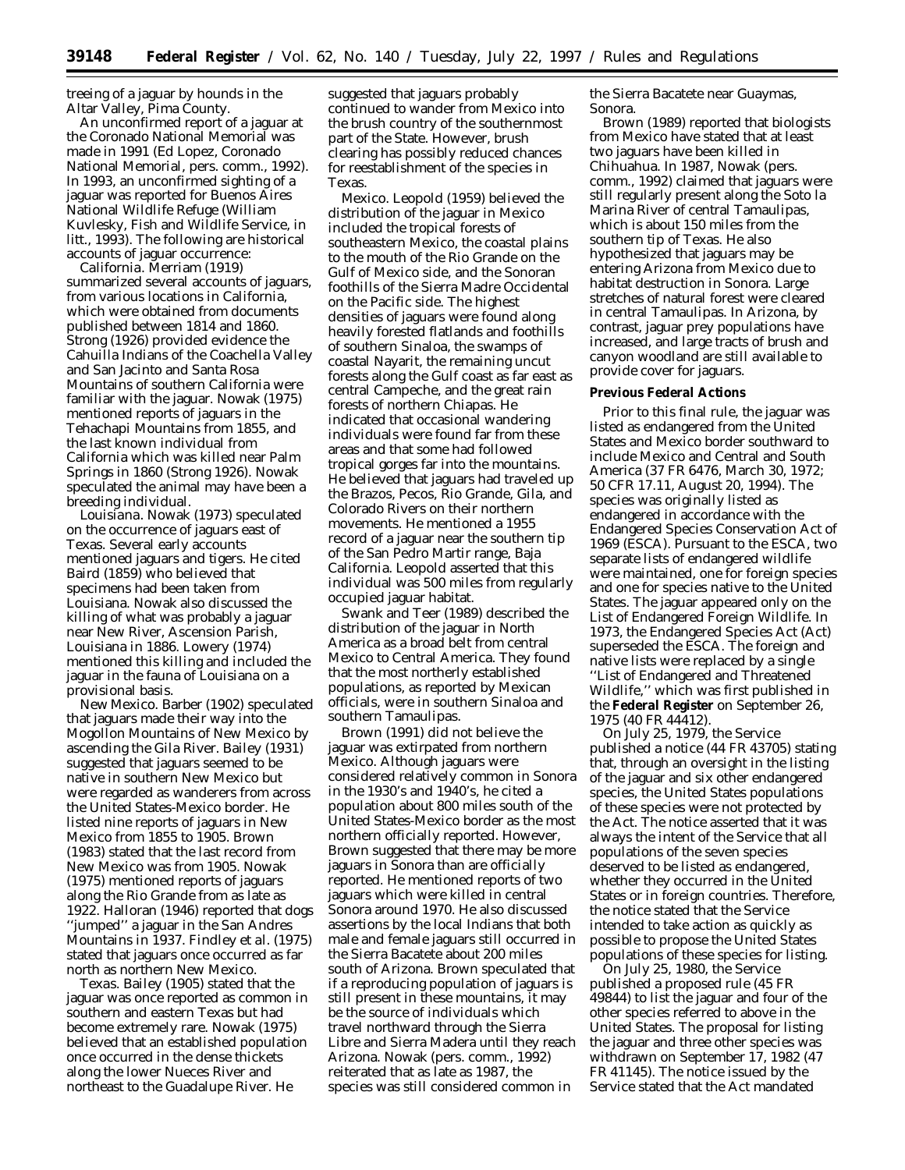treeing of a jaguar by hounds in the Altar Valley, Pima County.

An unconfirmed report of a jaguar at the Coronado National Memorial was made in 1991 (Ed Lopez, Coronado National Memorial, pers. comm., 1992). In 1993, an unconfirmed sighting of a jaguar was reported for Buenos Aires National Wildlife Refuge (William Kuvlesky, Fish and Wildlife Service, *in litt.,* 1993). The following are historical accounts of jaguar occurrence:

*California*. Merriam (1919) summarized several accounts of jaguars, from various locations in California, which were obtained from documents published between 1814 and 1860. Strong (1926) provided evidence the Cahuilla Indians of the Coachella Valley and San Jacinto and Santa Rosa Mountains of southern California were familiar with the jaguar. Nowak (1975) mentioned reports of jaguars in the Tehachapi Mountains from 1855, and the last known individual from California which was killed near Palm Springs in 1860 (Strong 1926). Nowak speculated the animal may have been a breeding individual.

*Louisiana*. Nowak (1973) speculated on the occurrence of jaguars east of Texas. Several early accounts mentioned jaguars and tigers. He cited Baird (1859) who believed that specimens had been taken from Louisiana. Nowak also discussed the killing of what was probably a jaguar near New River, Ascension Parish, Louisiana in 1886. Lowery (1974) mentioned this killing and included the jaguar in the fauna of Louisiana on a provisional basis.

*New Mexico*. Barber (1902) speculated that jaguars made their way into the Mogollon Mountains of New Mexico by ascending the Gila River. Bailey (1931) suggested that jaguars seemed to be native in southern New Mexico but were regarded as wanderers from across the United States-Mexico border. He listed nine reports of jaguars in New Mexico from 1855 to 1905. Brown (1983) stated that the last record from New Mexico was from 1905. Nowak (1975) mentioned reports of jaguars along the Rio Grande from as late as 1922. Halloran (1946) reported that dogs ''jumped'' a jaguar in the San Andres Mountains in 1937. Findley *et al.* (1975) stated that jaguars once occurred as far north as northern New Mexico.

*Texas*. Bailey (1905) stated that the jaguar was once reported as common in southern and eastern Texas but had become extremely rare. Nowak (1975) believed that an established population once occurred in the dense thickets along the lower Nueces River and northeast to the Guadalupe River. He

suggested that jaguars probably continued to wander from Mexico into the brush country of the southernmost part of the State. However, brush clearing has possibly reduced chances for reestablishment of the species in Texas.

*Mexico*. Leopold (1959) believed the distribution of the jaguar in Mexico included the tropical forests of southeastern Mexico, the coastal plains to the mouth of the Rio Grande on the Gulf of Mexico side, and the Sonoran foothills of the Sierra Madre Occidental on the Pacific side. The highest densities of jaguars were found along heavily forested flatlands and foothills of southern Sinaloa, the swamps of coastal Nayarit, the remaining uncut forests along the Gulf coast as far east as central Campeche, and the great rain forests of northern Chiapas. He indicated that occasional wandering individuals were found far from these areas and that some had followed tropical gorges far into the mountains. He believed that jaguars had traveled up the Brazos, Pecos, Rio Grande, Gila, and Colorado Rivers on their northern movements. He mentioned a 1955 record of a jaguar near the southern tip of the San Pedro Martir range, Baja California. Leopold asserted that this individual was 500 miles from regularly occupied jaguar habitat.

Swank and Teer (1989) described the distribution of the jaguar in North America as a broad belt from central Mexico to Central America. They found that the most northerly established populations, as reported by Mexican officials, were in southern Sinaloa and southern Tamaulipas.

Brown (1991) did not believe the jaguar was extirpated from northern Mexico. Although jaguars were considered relatively common in Sonora in the 1930's and 1940's, he cited a population about 800 miles south of the United States-Mexico border as the most northern officially reported. However, Brown suggested that there may be more jaguars in Sonora than are officially reported. He mentioned reports of two jaguars which were killed in central Sonora around 1970. He also discussed assertions by the local Indians that both male and female jaguars still occurred in the Sierra Bacatete about 200 miles south of Arizona. Brown speculated that if a reproducing population of jaguars is still present in these mountains, it may be the source of individuals which travel northward through the Sierra Libre and Sierra Madera until they reach Arizona. Nowak (pers. comm., 1992) reiterated that as late as 1987, the species was still considered common in

the Sierra Bacatete near Guaymas, Sonora.

Brown (1989) reported that biologists from Mexico have stated that at least two jaguars have been killed in Chihuahua. In 1987, Nowak (pers. comm., 1992) claimed that jaguars were still regularly present along the Soto la Marina River of central Tamaulipas, which is about 150 miles from the southern tip of Texas. He also hypothesized that jaguars may be entering Arizona from Mexico due to habitat destruction in Sonora. Large stretches of natural forest were cleared in central Tamaulipas. In Arizona, by contrast, jaguar prey populations have increased, and large tracts of brush and canyon woodland are still available to provide cover for jaguars.

### **Previous Federal Actions**

Prior to this final rule, the jaguar was listed as endangered from the United States and Mexico border southward to include Mexico and Central and South America (37 FR 6476, March 30, 1972; 50 CFR 17.11, August 20, 1994). The species was originally listed as endangered in accordance with the Endangered Species Conservation Act of 1969 (ESCA). Pursuant to the ESCA, two separate lists of endangered wildlife were maintained, one for foreign species and one for species native to the United States. The jaguar appeared only on the List of Endangered Foreign Wildlife. In 1973, the Endangered Species Act (Act) superseded the ESCA. The foreign and native lists were replaced by a single ''List of Endangered and Threatened Wildlife,'' which was first published in the **Federal Register** on September 26, 1975 (40 FR 44412).

On July 25, 1979, the Service published a notice (44 FR 43705) stating that, through an oversight in the listing of the jaguar and six other endangered species, the United States populations of these species were not protected by the Act. The notice asserted that it was always the intent of the Service that all populations of the seven species deserved to be listed as endangered, whether they occurred in the United States or in foreign countries. Therefore, the notice stated that the Service intended to take action as quickly as possible to propose the United States populations of these species for listing.

On July 25, 1980, the Service published a proposed rule (45 FR 49844) to list the jaguar and four of the other species referred to above in the United States. The proposal for listing the jaguar and three other species was withdrawn on September 17, 1982 (47 FR 41145). The notice issued by the Service stated that the Act mandated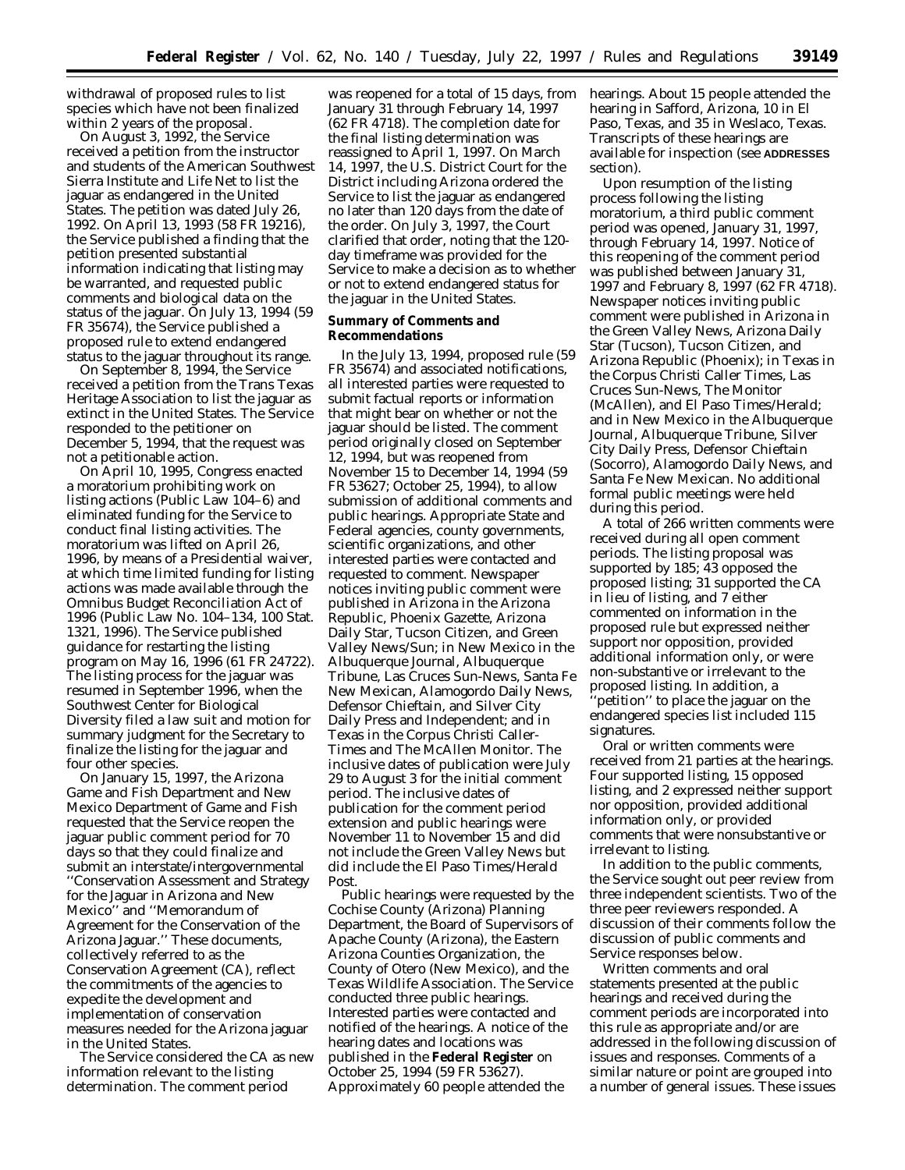withdrawal of proposed rules to list species which have not been finalized within 2 years of the proposal.

On August 3, 1992, the Service received a petition from the instructor and students of the American Southwest Sierra Institute and Life Net to list the jaguar as endangered in the United States. The petition was dated July 26, 1992. On April 13, 1993 (58 FR 19216), the Service published a finding that the petition presented substantial information indicating that listing may be warranted, and requested public comments and biological data on the status of the jaguar. On July 13, 1994 (59 FR 35674), the Service published a proposed rule to extend endangered status to the jaguar throughout its range.

On September 8, 1994, the Service received a petition from the Trans Texas Heritage Association to list the jaguar as extinct in the United States. The Service responded to the petitioner on December 5, 1994, that the request was not a petitionable action.

On April 10, 1995, Congress enacted a moratorium prohibiting work on listing actions (Public Law 104–6) and eliminated funding for the Service to conduct final listing activities. The moratorium was lifted on April 26, 1996, by means of a Presidential waiver, at which time limited funding for listing actions was made available through the Omnibus Budget Reconciliation Act of 1996 (Public Law No. 104–134, 100 Stat. 1321, 1996). The Service published guidance for restarting the listing program on May 16, 1996 (61 FR 24722). The listing process for the jaguar was resumed in September 1996, when the Southwest Center for Biological Diversity filed a law suit and motion for summary judgment for the Secretary to finalize the listing for the jaguar and four other species.

On January 15, 1997, the Arizona Game and Fish Department and New Mexico Department of Game and Fish requested that the Service reopen the jaguar public comment period for 70 days so that they could finalize and submit an interstate/intergovernmental ''Conservation Assessment and Strategy for the Jaguar in Arizona and New Mexico'' and ''Memorandum of Agreement for the Conservation of the Arizona Jaguar.'' These documents, collectively referred to as the Conservation Agreement (CA), reflect the commitments of the agencies to expedite the development and implementation of conservation measures needed for the Arizona jaguar in the United States.

The Service considered the CA as new information relevant to the listing determination. The comment period

was reopened for a total of 15 days, from January 31 through February 14, 1997 (62 FR 4718). The completion date for the final listing determination was reassigned to April 1, 1997. On March 14, 1997, the U.S. District Court for the District including Arizona ordered the Service to list the jaguar as endangered no later than 120 days from the date of the order. On July 3, 1997, the Court clarified that order, noting that the 120 day timeframe was provided for the Service to make a decision as to whether or not to extend endangered status for the jaguar in the United States.

#### **Summary of Comments and Recommendations**

In the July 13, 1994, proposed rule (59 FR 35674) and associated notifications, all interested parties were requested to submit factual reports or information that might bear on whether or not the jaguar should be listed. The comment period originally closed on September 12, 1994, but was reopened from November 15 to December 14, 1994 (59 FR 53627; October 25, 1994), to allow submission of additional comments and public hearings. Appropriate State and Federal agencies, county governments, scientific organizations, and other interested parties were contacted and requested to comment. Newspaper notices inviting public comment were published in Arizona in the Arizona Republic, Phoenix Gazette, Arizona Daily Star, Tucson Citizen, and Green Valley News/Sun; in New Mexico in the Albuquerque Journal, Albuquerque Tribune, Las Cruces Sun-News, Santa Fe New Mexican, Alamogordo Daily News, Defensor Chieftain, and Silver City Daily Press and Independent; and in Texas in the Corpus Christi Caller-Times and The McAllen Monitor. The inclusive dates of publication were July 29 to August 3 for the initial comment period. The inclusive dates of publication for the comment period extension and public hearings were November 11 to November 15 and did not include the Green Valley News but did include the El Paso Times/Herald Post.

Public hearings were requested by the Cochise County (Arizona) Planning Department, the Board of Supervisors of Apache County (Arizona), the Eastern Arizona Counties Organization, the County of Otero (New Mexico), and the Texas Wildlife Association. The Service conducted three public hearings. Interested parties were contacted and notified of the hearings. A notice of the hearing dates and locations was published in the **Federal Register** on October 25, 1994 (59 FR 53627). Approximately 60 people attended the

hearings. About 15 people attended the hearing in Safford, Arizona, 10 in El Paso, Texas, and 35 in Weslaco, Texas. Transcripts of these hearings are available for inspection (see **ADDRESSES** section).

Upon resumption of the listing process following the listing moratorium, a third public comment period was opened, January 31, 1997, through February 14, 1997. Notice of this reopening of the comment period was published between January 31, 1997 and February 8, 1997 (62 FR 4718). Newspaper notices inviting public comment were published in Arizona in the Green Valley News, Arizona Daily Star (Tucson), Tucson Citizen, and Arizona Republic (Phoenix); in Texas in the Corpus Christi Caller Times, Las Cruces Sun-News, The Monitor (McAllen), and El Paso Times/Herald; and in New Mexico in the Albuquerque Journal, Albuquerque Tribune, Silver City Daily Press, Defensor Chieftain (Socorro), Alamogordo Daily News, and Santa Fe New Mexican. No additional formal public meetings were held during this period.

A total of 266 written comments were received during all open comment periods. The listing proposal was supported by 185; 43 opposed the proposed listing; 31 supported the CA in lieu of listing, and 7 either commented on information in the proposed rule but expressed neither support nor opposition, provided additional information only, or were non-substantive or irrelevant to the proposed listing. In addition, a 'petition'' to place the jaguar on the endangered species list included 115 signatures.

Oral or written comments were received from 21 parties at the hearings. Four supported listing, 15 opposed listing, and 2 expressed neither support nor opposition, provided additional information only, or provided comments that were nonsubstantive or irrelevant to listing.

In addition to the public comments, the Service sought out peer review from three independent scientists. Two of the three peer reviewers responded. A discussion of their comments follow the discussion of public comments and Service responses below.

Written comments and oral statements presented at the public hearings and received during the comment periods are incorporated into this rule as appropriate and/or are addressed in the following discussion of issues and responses. Comments of a similar nature or point are grouped into a number of general issues. These issues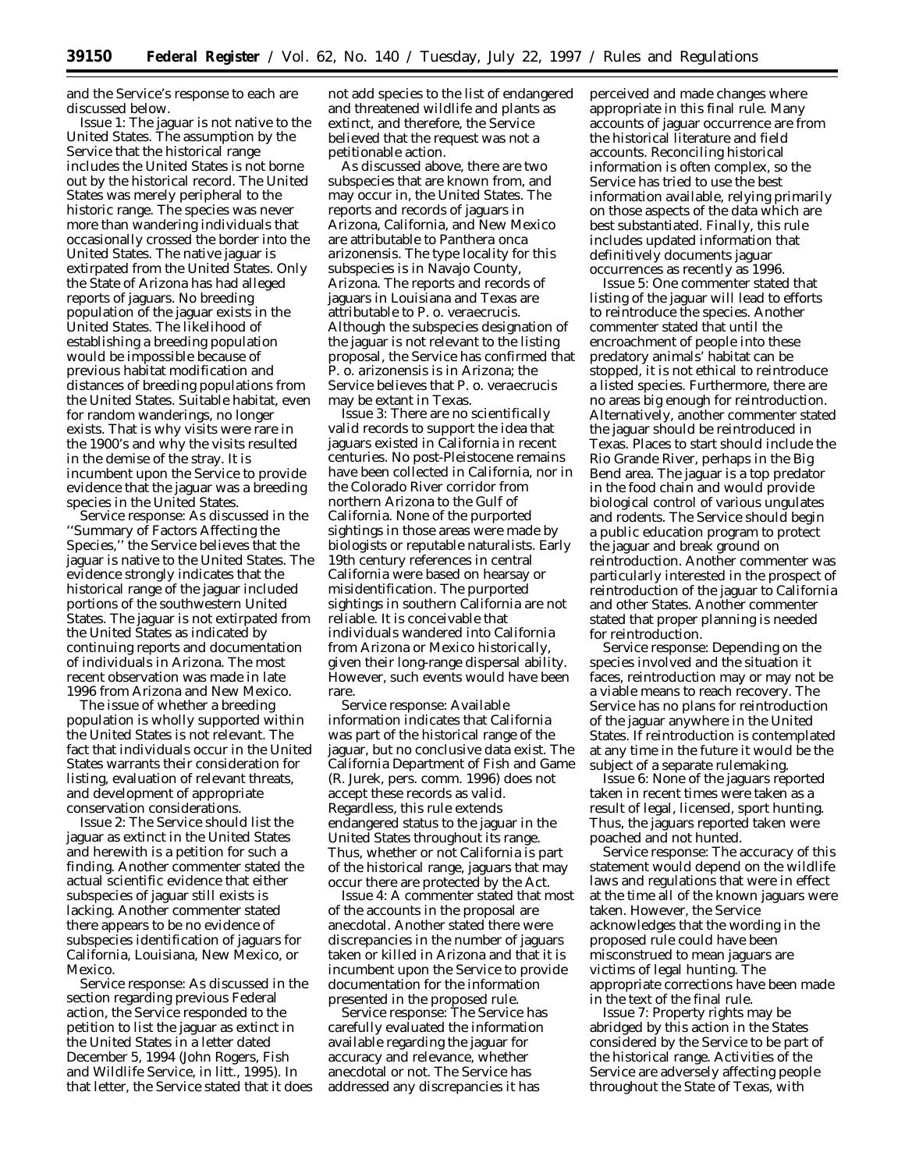and the Service's response to each are discussed below.

*Issue 1:* The jaguar is not native to the United States. The assumption by the Service that the historical range includes the United States is not borne out by the historical record. The United States was merely peripheral to the historic range. The species was never more than wandering individuals that occasionally crossed the border into the United States. The native jaguar is extirpated from the United States. Only the State of Arizona has had alleged reports of jaguars. No breeding population of the jaguar exists in the United States. The likelihood of establishing a breeding population would be impossible because of previous habitat modification and distances of breeding populations from the United States. Suitable habitat, even for random wanderings, no longer exists. That is why visits were rare in the 1900's and why the visits resulted in the demise of the stray. It is incumbent upon the Service to provide evidence that the jaguar was a breeding species in the United States.

*Service response:* As discussed in the ''Summary of Factors Affecting the Species,'' the Service believes that the jaguar is native to the United States. The evidence strongly indicates that the historical range of the jaguar included portions of the southwestern United States. The jaguar is not extirpated from the United States as indicated by continuing reports and documentation of individuals in Arizona. The most recent observation was made in late 1996 from Arizona and New Mexico.

The issue of whether a breeding population is wholly supported within the United States is not relevant. The fact that individuals occur in the United States warrants their consideration for listing, evaluation of relevant threats, and development of appropriate conservation considerations.

*Issue 2:* The Service should list the jaguar as extinct in the United States and herewith is a petition for such a finding. Another commenter stated the actual scientific evidence that either subspecies of jaguar still exists is lacking. Another commenter stated there appears to be no evidence of subspecies identification of jaguars for California, Louisiana, New Mexico, or Mexico.

*Service response:* As discussed in the section regarding previous Federal action, the Service responded to the petition to list the jaguar as extinct in the United States in a letter dated December 5, 1994 (John Rogers, Fish and Wildlife Service, *in litt.,* 1995). In that letter, the Service stated that it does

not add species to the list of endangered and threatened wildlife and plants as extinct, and therefore, the Service believed that the request was not a petitionable action.

As discussed above, there are two subspecies that are known from, and may occur in, the United States. The reports and records of jaguars in Arizona, California, and New Mexico are attributable to *Panthera onca arizonensis.* The type locality for this subspecies is in Navajo County, Arizona. The reports and records of jaguars in Louisiana and Texas are attributable to *P. o. veraecrucis.* Although the subspecies designation of the jaguar is not relevant to the listing proposal, the Service has confirmed that *P. o. arizonensis* is in Arizona; the Service believes that *P. o. veraecrucis* may be extant in Texas.

*Issue 3:* There are no scientifically valid records to support the idea that jaguars existed in California in recent centuries. No post-Pleistocene remains have been collected in California, nor in the Colorado River corridor from northern Arizona to the Gulf of California. None of the purported sightings in those areas were made by biologists or reputable naturalists. Early 19th century references in central California were based on hearsay or misidentification. The purported sightings in southern California are not reliable. It is conceivable that individuals wandered into California from Arizona or Mexico historically, given their long-range dispersal ability. However, such events would have been rare

*Service response:* Available information indicates that California was part of the historical range of the jaguar, but no conclusive data exist. The California Department of Fish and Game (R. Jurek, pers. comm. 1996) does not accept these records as valid. Regardless, this rule extends endangered status to the jaguar in the United States throughout its range. Thus, whether or not California is part of the historical range, jaguars that may occur there are protected by the Act.

*Issue 4:* A commenter stated that most of the accounts in the proposal are anecdotal. Another stated there were discrepancies in the number of jaguars taken or killed in Arizona and that it is incumbent upon the Service to provide documentation for the information presented in the proposed rule.

*Service response:* The Service has carefully evaluated the information available regarding the jaguar for accuracy and relevance, whether anecdotal or not. The Service has addressed any discrepancies it has

perceived and made changes where appropriate in this final rule. Many accounts of jaguar occurrence are from the historical literature and field accounts. Reconciling historical information is often complex, so the Service has tried to use the best information available, relying primarily on those aspects of the data which are best substantiated. Finally, this rule includes updated information that definitively documents jaguar occurrences as recently as 1996.

*Issue 5:* One commenter stated that listing of the jaguar will lead to efforts to reintroduce the species. Another commenter stated that until the encroachment of people into these predatory animals' habitat can be stopped, it is not ethical to reintroduce a listed species. Furthermore, there are no areas big enough for reintroduction. Alternatively, another commenter stated the jaguar should be reintroduced in Texas. Places to start should include the Rio Grande River, perhaps in the Big Bend area. The jaguar is a top predator in the food chain and would provide biological control of various ungulates and rodents. The Service should begin a public education program to protect the jaguar and break ground on reintroduction. Another commenter was particularly interested in the prospect of reintroduction of the jaguar to California and other States. Another commenter stated that proper planning is needed for reintroduction.

*Service response:* Depending on the species involved and the situation it faces, reintroduction may or may not be a viable means to reach recovery. The Service has no plans for reintroduction of the jaguar anywhere in the United States. If reintroduction is contemplated at any time in the future it would be the subject of a separate rulemaking.

*Issue 6:* None of the jaguars reported taken in recent times were taken as a result of legal, licensed, sport hunting. Thus, the jaguars reported taken were poached and not hunted.

*Service response:* The accuracy of this statement would depend on the wildlife laws and regulations that were in effect at the time all of the known jaguars were taken. However, the Service acknowledges that the wording in the proposed rule could have been misconstrued to mean jaguars are victims of legal hunting. The appropriate corrections have been made in the text of the final rule.

*Issue 7:* Property rights may be abridged by this action in the States considered by the Service to be part of the historical range. Activities of the Service are adversely affecting people throughout the State of Texas, with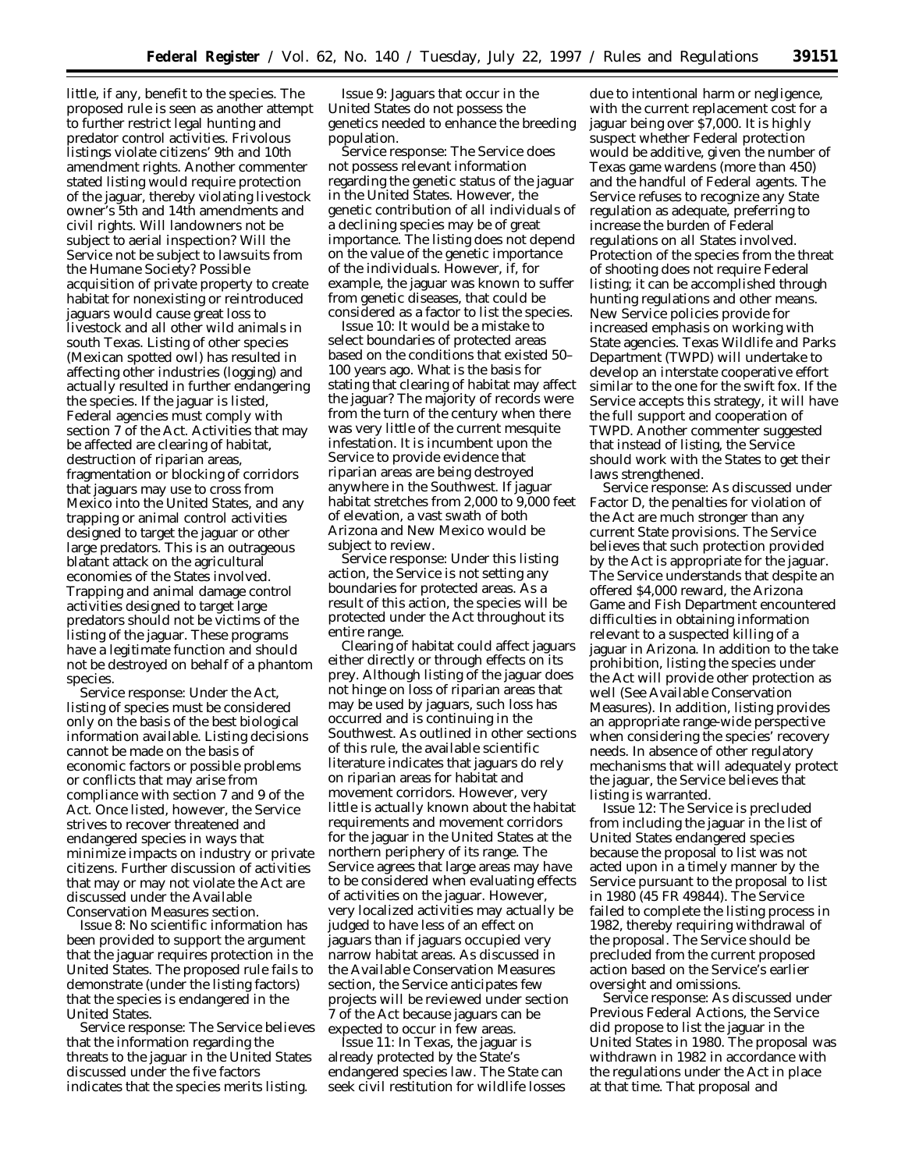little, if any, benefit to the species. The proposed rule is seen as another attempt to further restrict legal hunting and predator control activities. Frivolous listings violate citizens' 9th and 10th amendment rights. Another commenter stated listing would require protection of the jaguar, thereby violating livestock owner's 5th and 14th amendments and civil rights. Will landowners not be subject to aerial inspection? Will the Service not be subject to lawsuits from the Humane Society? Possible acquisition of private property to create habitat for nonexisting or reintroduced jaguars would cause great loss to livestock and all other wild animals in south Texas. Listing of other species (Mexican spotted owl) has resulted in affecting other industries (logging) and actually resulted in further endangering the species. If the jaguar is listed, Federal agencies must comply with section 7 of the Act. Activities that may be affected are clearing of habitat, destruction of riparian areas, fragmentation or blocking of corridors that jaguars may use to cross from Mexico into the United States, and any trapping or animal control activities designed to target the jaguar or other large predators. This is an outrageous blatant attack on the agricultural economies of the States involved. Trapping and animal damage control activities designed to target large predators should not be victims of the listing of the jaguar. These programs have a legitimate function and should not be destroyed on behalf of a phantom species.

*Service response:* Under the Act, listing of species must be considered only on the basis of the best biological information available. Listing decisions cannot be made on the basis of economic factors or possible problems or conflicts that may arise from compliance with section 7 and 9 of the Act. Once listed, however, the Service strives to recover threatened and endangered species in ways that minimize impacts on industry or private citizens. Further discussion of activities that may or may not violate the Act are discussed under the Available Conservation Measures section.

*Issue 8:* No scientific information has been provided to support the argument that the jaguar requires protection in the United States. The proposed rule fails to demonstrate (under the listing factors) that the species is endangered in the United States.

*Service response:* The Service believes that the information regarding the threats to the jaguar in the United States discussed under the five factors indicates that the species merits listing.

*Issue 9:* Jaguars that occur in the United States do not possess the genetics needed to enhance the breeding population.

*Service response:* The Service does not possess relevant information regarding the genetic status of the jaguar in the United States. However, the genetic contribution of all individuals of a declining species may be of great importance. The listing does not depend on the value of the genetic importance of the individuals. However, if, for example, the jaguar was known to suffer from genetic diseases, that could be considered as a factor to list the species.

*Issue 10:* It would be a mistake to select boundaries of protected areas based on the conditions that existed 50– 100 years ago. What is the basis for stating that clearing of habitat may affect the jaguar? The majority of records were from the turn of the century when there was very little of the current mesquite infestation. It is incumbent upon the Service to provide evidence that riparian areas are being destroyed anywhere in the Southwest. If jaguar habitat stretches from 2,000 to 9,000 feet of elevation, a vast swath of both Arizona and New Mexico would be subject to review.

*Service response:* Under this listing action, the Service is not setting any boundaries for protected areas. As a result of this action, the species will be protected under the Act throughout its entire range.

Clearing of habitat could affect jaguars either directly or through effects on its prey. Although listing of the jaguar does not hinge on loss of riparian areas that may be used by jaguars, such loss has occurred and is continuing in the Southwest. As outlined in other sections of this rule, the available scientific literature indicates that jaguars do rely on riparian areas for habitat and movement corridors. However, very little is actually known about the habitat requirements and movement corridors for the jaguar in the United States at the northern periphery of its range. The Service agrees that large areas may have to be considered when evaluating effects of activities on the jaguar. However, very localized activities may actually be judged to have less of an effect on jaguars than if jaguars occupied very narrow habitat areas. As discussed in the Available Conservation Measures section, the Service anticipates few projects will be reviewed under section 7 of the Act because jaguars can be expected to occur in few areas.

*Issue 11:* In Texas, the jaguar is already protected by the State's endangered species law. The State can seek civil restitution for wildlife losses

due to intentional harm or negligence, with the current replacement cost for a jaguar being over \$7,000. It is highly suspect whether Federal protection would be additive, given the number of Texas game wardens (more than 450) and the handful of Federal agents. The Service refuses to recognize any State regulation as adequate, preferring to increase the burden of Federal regulations on all States involved. Protection of the species from the threat of shooting does not require Federal listing; it can be accomplished through hunting regulations and other means. New Service policies provide for increased emphasis on working with State agencies. Texas Wildlife and Parks Department (TWPD) will undertake to develop an interstate cooperative effort similar to the one for the swift fox. If the Service accepts this strategy, it will have the full support and cooperation of TWPD. Another commenter suggested that instead of listing, the Service should work with the States to get their laws strengthened.

*Service response:* As discussed under Factor D, the penalties for violation of the Act are much stronger than any current State provisions. The Service believes that such protection provided by the Act is appropriate for the jaguar. The Service understands that despite an offered \$4,000 reward, the Arizona Game and Fish Department encountered difficulties in obtaining information relevant to a suspected killing of a jaguar in Arizona. In addition to the take prohibition, listing the species under the Act will provide other protection as well (See Available Conservation Measures). In addition, listing provides an appropriate range-wide perspective when considering the species' recovery needs. In absence of other regulatory mechanisms that will adequately protect the jaguar, the Service believes that listing is warranted.

*Issue 12:* The Service is precluded from including the jaguar in the list of United States endangered species because the proposal to list was not acted upon in a timely manner by the Service pursuant to the proposal to list in 1980 (45 FR 49844). The Service failed to complete the listing process in 1982, thereby requiring withdrawal of the proposal. The Service should be precluded from the current proposed action based on the Service's earlier oversight and omissions.

*Service response:* As discussed under Previous Federal Actions, the Service did propose to list the jaguar in the United States in 1980. The proposal was withdrawn in 1982 in accordance with the regulations under the Act in place at that time. That proposal and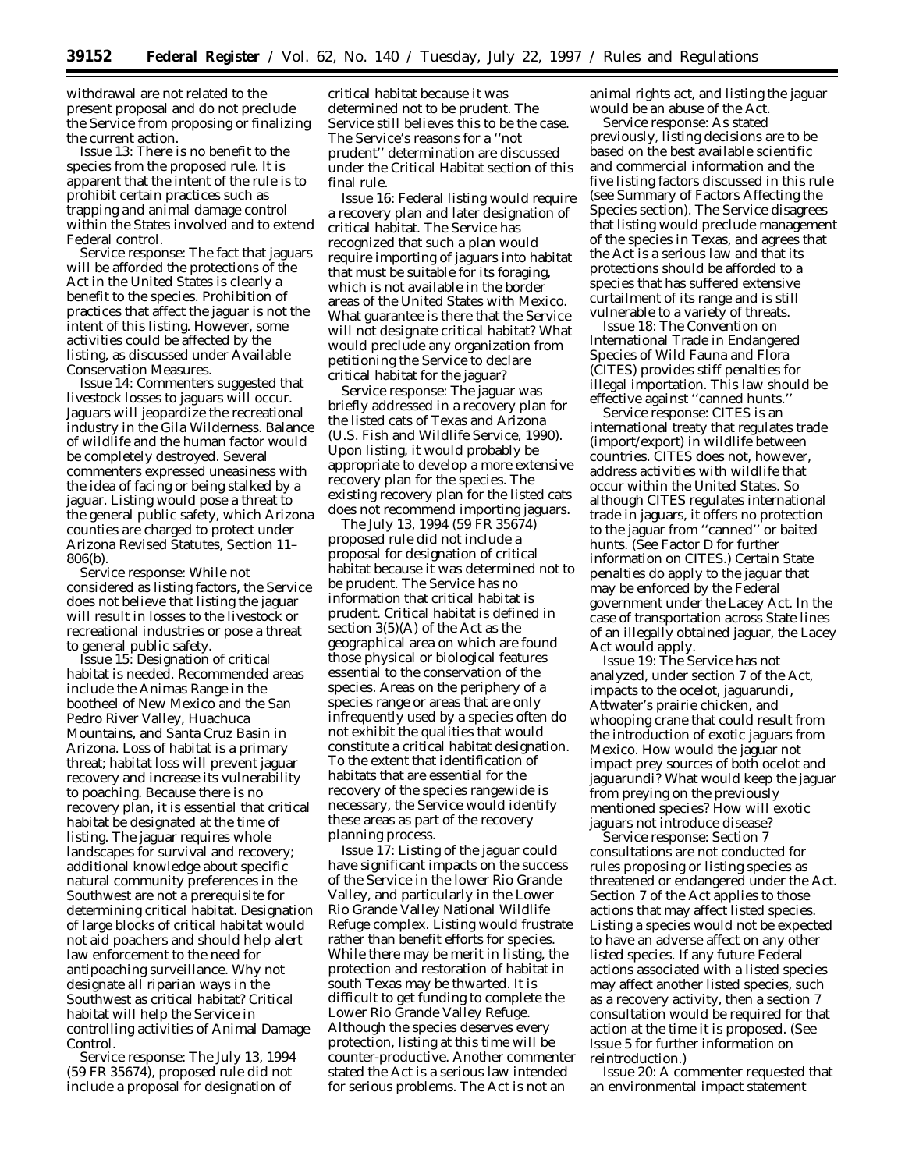withdrawal are not related to the present proposal and do not preclude the Service from proposing or finalizing the current action.

*Issue 13:* There is no benefit to the species from the proposed rule. It is apparent that the intent of the rule is to prohibit certain practices such as trapping and animal damage control within the States involved and to extend Federal control.

*Service response:* The fact that jaguars will be afforded the protections of the Act in the United States is clearly a benefit to the species. Prohibition of practices that affect the jaguar is not the intent of this listing. However, some activities could be affected by the listing, as discussed under Available Conservation Measures.

*Issue 14:* Commenters suggested that livestock losses to jaguars will occur. Jaguars will jeopardize the recreational industry in the Gila Wilderness. Balance of wildlife and the human factor would be completely destroyed. Several commenters expressed uneasiness with the idea of facing or being stalked by a jaguar. Listing would pose a threat to the general public safety, which Arizona counties are charged to protect under Arizona Revised Statutes, Section 11– 806(b).

*Service response:* While not considered as listing factors, the Service does not believe that listing the jaguar will result in losses to the livestock or recreational industries or pose a threat to general public safety.

*Issue 15:* Designation of critical habitat is needed. Recommended areas include the Animas Range in the bootheel of New Mexico and the San Pedro River Valley, Huachuca Mountains, and Santa Cruz Basin in Arizona. Loss of habitat is a primary threat; habitat loss will prevent jaguar recovery and increase its vulnerability to poaching. Because there is no recovery plan, it is essential that critical habitat be designated at the time of listing. The jaguar requires whole landscapes for survival and recovery; additional knowledge about specific natural community preferences in the Southwest are not a prerequisite for determining critical habitat. Designation of large blocks of critical habitat would not aid poachers and should help alert law enforcement to the need for antipoaching surveillance. Why not designate all riparian ways in the Southwest as critical habitat? Critical habitat will help the Service in controlling activities of Animal Damage Control.

*Service response:* The July 13, 1994 (59 FR 35674), proposed rule did not include a proposal for designation of

critical habitat because it was determined not to be prudent. The Service still believes this to be the case. The Service's reasons for a ''not prudent'' determination are discussed under the Critical Habitat section of this final rule.

*Issue 16:* Federal listing would require a recovery plan and later designation of critical habitat. The Service has recognized that such a plan would require importing of jaguars into habitat that must be suitable for its foraging, which is not available in the border areas of the United States with Mexico. What guarantee is there that the Service will not designate critical habitat? What would preclude any organization from petitioning the Service to declare critical habitat for the jaguar?

*Service response:* The jaguar was briefly addressed in a recovery plan for the listed cats of Texas and Arizona (U.S. Fish and Wildlife Service, 1990). Upon listing, it would probably be appropriate to develop a more extensive recovery plan for the species. The existing recovery plan for the listed cats does not recommend importing jaguars.

The July 13, 1994 (59 FR 35674) proposed rule did not include a proposal for designation of critical habitat because it was determined not to be prudent. The Service has no information that critical habitat is prudent. Critical habitat is defined in section 3(5)(A) of the Act as the geographical area on which are found those physical or biological features essential to the conservation of the species. Areas on the periphery of a species range or areas that are only infrequently used by a species often do not exhibit the qualities that would constitute a critical habitat designation. To the extent that identification of habitats that are essential for the recovery of the species rangewide is necessary, the Service would identify these areas as part of the recovery planning process.

*Issue 17:* Listing of the jaguar could have significant impacts on the success of the Service in the lower Rio Grande Valley, and particularly in the Lower Rio Grande Valley National Wildlife Refuge complex. Listing would frustrate rather than benefit efforts for species. While there may be merit in listing, the protection and restoration of habitat in south Texas may be thwarted. It is difficult to get funding to complete the Lower Rio Grande Valley Refuge. Although the species deserves every protection, listing at this time will be counter-productive. Another commenter stated the Act is a serious law intended for serious problems. The Act is not an

animal rights act, and listing the jaguar would be an abuse of the Act.

*Service response:* As stated previously, listing decisions are to be based on the best available scientific and commercial information and the five listing factors discussed in this rule (see Summary of Factors Affecting the Species section). The Service disagrees that listing would preclude management of the species in Texas, and agrees that the Act is a serious law and that its protections should be afforded to a species that has suffered extensive curtailment of its range and is still vulnerable to a variety of threats.

*Issue 18:* The Convention on International Trade in Endangered Species of Wild Fauna and Flora (CITES) provides stiff penalties for illegal importation. This law should be effective against ''canned hunts.''

*Service response:* CITES is an international treaty that regulates trade (import/export) in wildlife between countries. CITES does not, however, address activities with wildlife that occur within the United States. So although CITES regulates international trade in jaguars, it offers no protection to the jaguar from ''canned'' or baited hunts. (See Factor D for further information on CITES.) Certain State penalties do apply to the jaguar that may be enforced by the Federal government under the Lacey Act. In the case of transportation across State lines of an illegally obtained jaguar, the Lacey Act would apply.

*Issue 19:* The Service has not analyzed, under section 7 of the Act, impacts to the ocelot, jaguarundi, Attwater's prairie chicken, and whooping crane that could result from the introduction of exotic jaguars from Mexico. How would the jaguar not impact prey sources of both ocelot and jaguarundi? What would keep the jaguar from preying on the previously mentioned species? How will exotic jaguars not introduce disease?

*Service response:* Section 7 consultations are not conducted for rules proposing or listing species as threatened or endangered under the Act. Section 7 of the Act applies to those actions that may affect listed species. Listing a species would not be expected to have an adverse affect on any other listed species. If any future Federal actions associated with a listed species may affect another listed species, such as a recovery activity, then a section 7 consultation would be required for that action at the time it is proposed. (See Issue 5 for further information on reintroduction.)

*Issue 20:* A commenter requested that an environmental impact statement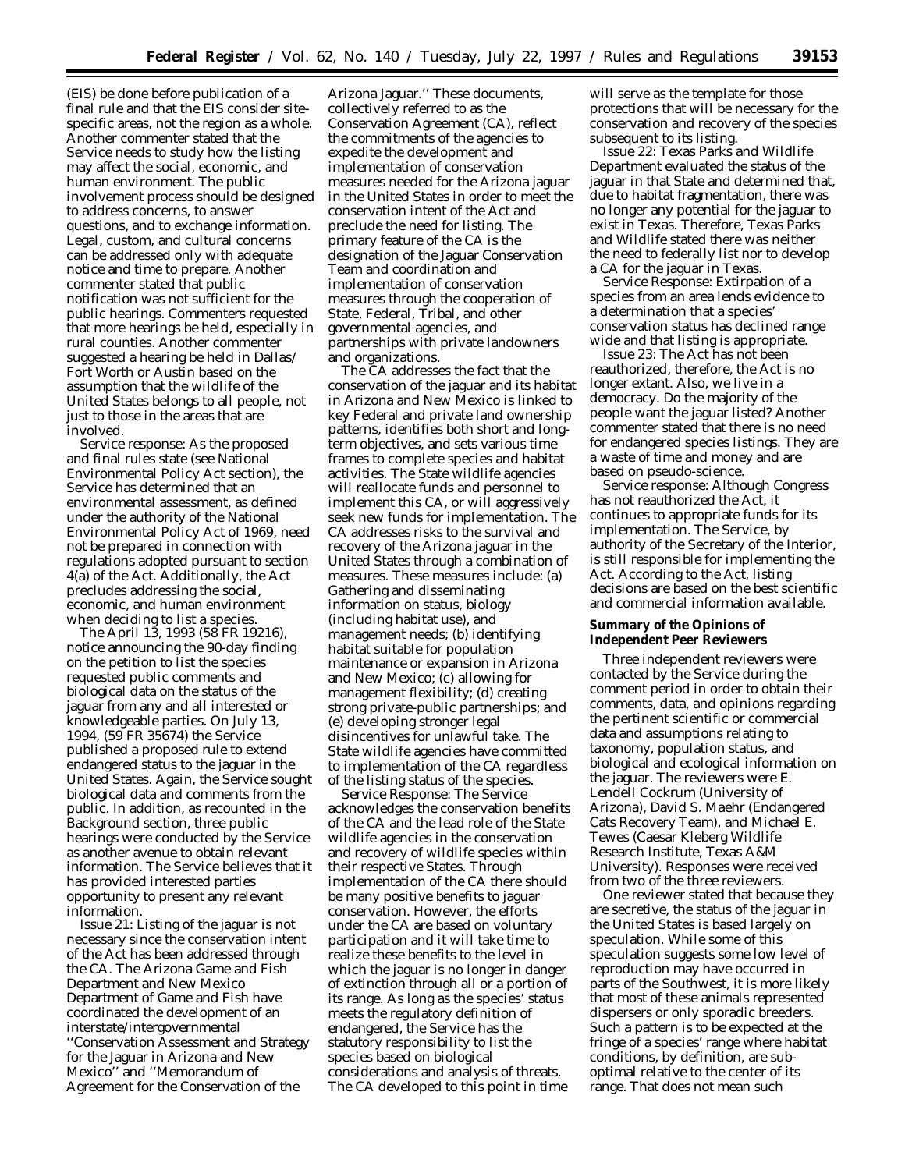(EIS) be done before publication of a final rule and that the EIS consider sitespecific areas, not the region as a whole. Another commenter stated that the Service needs to study how the listing may affect the social, economic, and human environment. The public involvement process should be designed to address concerns, to answer questions, and to exchange information. Legal, custom, and cultural concerns can be addressed only with adequate notice and time to prepare. Another commenter stated that public notification was not sufficient for the public hearings. Commenters requested that more hearings be held, especially in rural counties. Another commenter suggested a hearing be held in Dallas/ Fort Worth or Austin based on the assumption that the wildlife of the United States belongs to all people, not just to those in the areas that are involved.

*Service response:* As the proposed and final rules state (see National Environmental Policy Act section), the Service has determined that an environmental assessment, as defined under the authority of the National Environmental Policy Act of 1969, need not be prepared in connection with regulations adopted pursuant to section 4(a) of the Act. Additionally, the Act precludes addressing the social, economic, and human environment when deciding to list a species.

The April 13, 1993 (58 FR 19216), notice announcing the 90-day finding on the petition to list the species requested public comments and biological data on the status of the jaguar from any and all interested or knowledgeable parties. On July 13, 1994, (59 FR 35674) the Service published a proposed rule to extend endangered status to the jaguar in the United States. Again, the Service sought biological data and comments from the public. In addition, as recounted in the Background section, three public hearings were conducted by the Service as another avenue to obtain relevant information. The Service believes that it has provided interested parties opportunity to present any relevant information.

*Issue 21:* Listing of the jaguar is not necessary since the conservation intent of the Act has been addressed through the CA. The Arizona Game and Fish Department and New Mexico Department of Game and Fish have coordinated the development of an interstate/intergovernmental ''Conservation Assessment and Strategy for the Jaguar in Arizona and New Mexico'' and ''Memorandum of Agreement for the Conservation of the

Arizona Jaguar.'' These documents, collectively referred to as the Conservation Agreement (CA), reflect the commitments of the agencies to expedite the development and implementation of conservation measures needed for the Arizona jaguar in the United States in order to meet the conservation intent of the Act and preclude the need for listing. The primary feature of the CA is the designation of the Jaguar Conservation Team and coordination and implementation of conservation measures through the cooperation of State, Federal, Tribal, and other governmental agencies, and partnerships with private landowners and organizations.

The CA addresses the fact that the conservation of the jaguar and its habitat in Arizona and New Mexico is linked to key Federal and private land ownership patterns, identifies both short and longterm objectives, and sets various time frames to complete species and habitat activities. The State wildlife agencies will reallocate funds and personnel to implement this CA, or will aggressively seek new funds for implementation. The CA addresses risks to the survival and recovery of the Arizona jaguar in the United States through a combination of measures. These measures include: (a) Gathering and disseminating information on status, biology (including habitat use), and management needs; (b) identifying habitat suitable for population maintenance or expansion in Arizona and New Mexico; (c) allowing for management flexibility; (d) creating strong private-public partnerships; and (e) developing stronger legal disincentives for unlawful take. The State wildlife agencies have committed to implementation of the CA regardless of the listing status of the species.

*Service Response:* The Service acknowledges the conservation benefits of the CA and the lead role of the State wildlife agencies in the conservation and recovery of wildlife species within their respective States. Through implementation of the CA there should be many positive benefits to jaguar conservation. However, the efforts under the CA are based on voluntary participation and it will take time to realize these benefits to the level in which the jaguar is no longer in danger of extinction through all or a portion of its range. As long as the species' status meets the regulatory definition of endangered, the Service has the statutory responsibility to list the species based on biological considerations and analysis of threats. The CA developed to this point in time

will serve as the template for those protections that will be necessary for the conservation and recovery of the species subsequent to its listing.

*Issue 22:* Texas Parks and Wildlife Department evaluated the status of the jaguar in that State and determined that, due to habitat fragmentation, there was no longer any potential for the jaguar to exist in Texas. Therefore, Texas Parks and Wildlife stated there was neither the need to federally list nor to develop a CA for the jaguar in Texas.

*Service Response:* Extirpation of a species from an area lends evidence to a determination that a species' conservation status has declined range wide and that listing is appropriate.

*Issue 23:* The Act has not been reauthorized, therefore, the Act is no longer extant. Also, we live in a democracy. Do the majority of the people want the jaguar listed? Another commenter stated that there is no need for endangered species listings. They are a waste of time and money and are based on pseudo-science.

*Service response:* Although Congress has not reauthorized the Act, it continues to appropriate funds for its implementation. The Service, by authority of the Secretary of the Interior, is still responsible for implementing the Act. According to the Act, listing decisions are based on the best scientific and commercial information available.

# **Summary of the Opinions of Independent Peer Reviewers**

Three independent reviewers were contacted by the Service during the comment period in order to obtain their comments, data, and opinions regarding the pertinent scientific or commercial data and assumptions relating to taxonomy, population status, and biological and ecological information on the jaguar. The reviewers were E. Lendell Cockrum (University of Arizona), David S. Maehr (Endangered Cats Recovery Team), and Michael E. Tewes (Caesar Kleberg Wildlife Research Institute, Texas A&M University). Responses were received from two of the three reviewers.

One reviewer stated that because they are secretive, the status of the jaguar in the United States is based largely on speculation. While some of this speculation suggests some low level of reproduction may have occurred in parts of the Southwest, it is more likely that most of these animals represented dispersers or only sporadic breeders. Such a pattern is to be expected at the fringe of a species' range where habitat conditions, by definition, are suboptimal relative to the center of its range. That does not mean such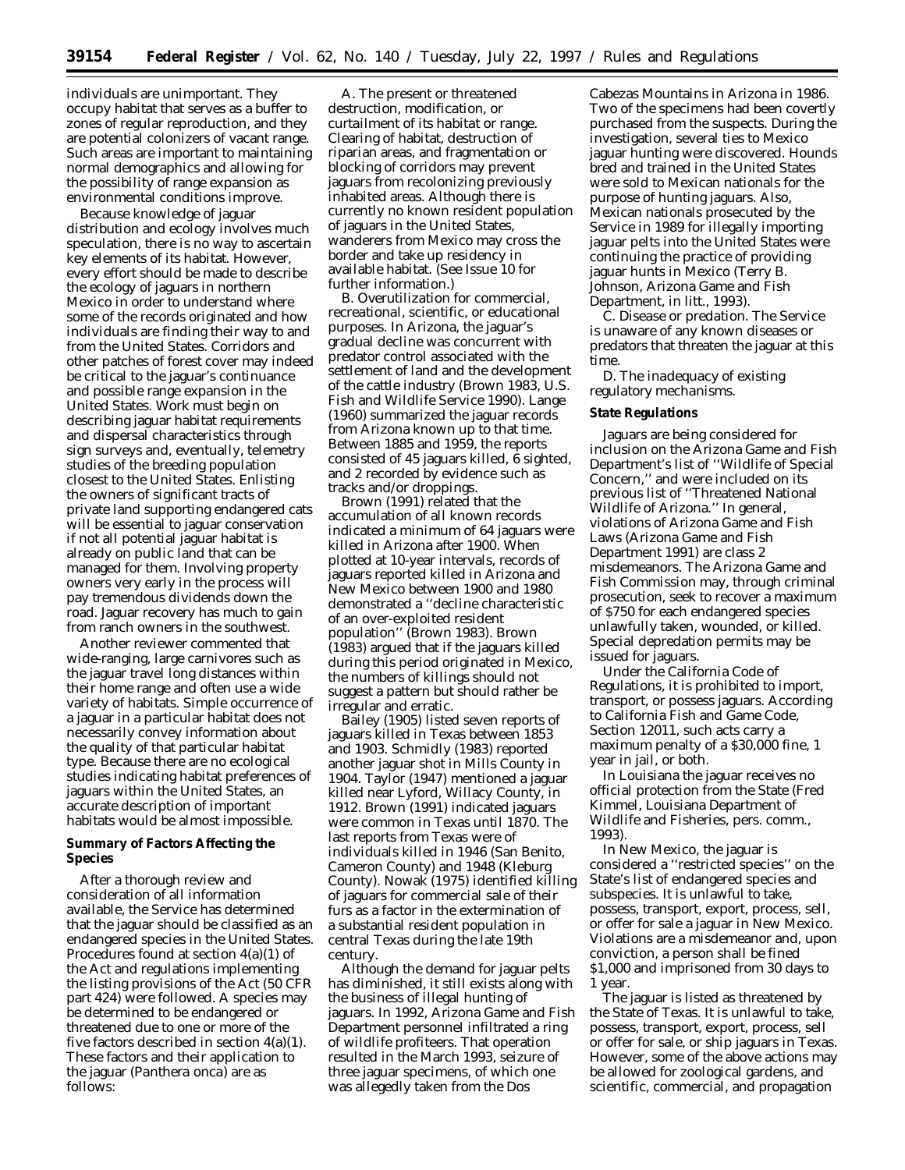individuals are unimportant. They occupy habitat that serves as a buffer to zones of regular reproduction, and they are potential colonizers of vacant range. Such areas are important to maintaining normal demographics and allowing for the possibility of range expansion as environmental conditions improve.

Because knowledge of jaguar distribution and ecology involves much speculation, there is no way to ascertain key elements of its habitat. However, every effort should be made to describe the ecology of jaguars in northern Mexico in order to understand where some of the records originated and how individuals are finding their way to and from the United States. Corridors and other patches of forest cover may indeed be critical to the jaguar's continuance and possible range expansion in the United States. Work must begin on describing jaguar habitat requirements and dispersal characteristics through sign surveys and, eventually, telemetry studies of the breeding population closest to the United States. Enlisting the owners of significant tracts of private land supporting endangered cats will be essential to jaguar conservation if not all potential jaguar habitat is already on public land that can be managed for them. Involving property owners very early in the process will pay tremendous dividends down the road. Jaguar recovery has much to gain from ranch owners in the southwest.

Another reviewer commented that wide-ranging, large carnivores such as the jaguar travel long distances within their home range and often use a wide variety of habitats. Simple occurrence of a jaguar in a particular habitat does not necessarily convey information about the quality of that particular habitat type. Because there are no ecological studies indicating habitat preferences of jaguars within the United States, an accurate description of important habitats would be almost impossible.

# **Summary of Factors Affecting the Species**

After a thorough review and consideration of all information available, the Service has determined that the jaguar should be classified as an endangered species in the United States. Procedures found at section 4(a)(1) of the Act and regulations implementing the listing provisions of the Act (50 CFR part 424) were followed. A species may be determined to be endangered or threatened due to one or more of the five factors described in section 4(a)(1). These factors and their application to the jaguar (*Panthera onca*) are as follows:

A. *The present or threatened destruction, modification, or curtailment of its habitat or range.* Clearing of habitat, destruction of riparian areas, and fragmentation or blocking of corridors may prevent jaguars from recolonizing previously inhabited areas. Although there is currently no known resident population of jaguars in the United States, wanderers from Mexico may cross the border and take up residency in available habitat. (See Issue 10 for further information.)

B. *Overutilization for commercial, recreational, scientific, or educational purposes.* In Arizona, the jaguar's gradual decline was concurrent with predator control associated with the settlement of land and the development of the cattle industry (Brown 1983, U.S. Fish and Wildlife Service 1990). Lange (1960) summarized the jaguar records from Arizona known up to that time. Between 1885 and 1959, the reports consisted of 45 jaguars killed, 6 sighted, and 2 recorded by evidence such as tracks and/or droppings.

Brown (1991) related that the accumulation of all known records indicated a minimum of 64 jaguars were killed in Arizona after 1900. When plotted at 10-year intervals, records of jaguars reported killed in Arizona and New Mexico between 1900 and 1980 demonstrated a ''decline characteristic of an over-exploited resident population'' (Brown 1983). Brown (1983) argued that if the jaguars killed during this period originated in Mexico, the numbers of killings should not suggest a pattern but should rather be irregular and erratic.

Bailey (1905) listed seven reports of jaguars killed in Texas between 1853 and 1903. Schmidly (1983) reported another jaguar shot in Mills County in 1904. Taylor (1947) mentioned a jaguar killed near Lyford, Willacy County, in 1912. Brown (1991) indicated jaguars were common in Texas until 1870. The last reports from Texas were of individuals killed in 1946 (San Benito, Cameron County) and 1948 (Kleburg County). Nowak (1975) identified killing of jaguars for commercial sale of their furs as a factor in the extermination of a substantial resident population in central Texas during the late 19th century.

Although the demand for jaguar pelts has diminished, it still exists along with the business of illegal hunting of jaguars. In 1992, Arizona Game and Fish Department personnel infiltrated a ring of wildlife profiteers. That operation resulted in the March 1993, seizure of three jaguar specimens, of which one was allegedly taken from the Dos

Cabezas Mountains in Arizona in 1986. Two of the specimens had been covertly purchased from the suspects. During the investigation, several ties to Mexico jaguar hunting were discovered. Hounds bred and trained in the United States were sold to Mexican nationals for the purpose of hunting jaguars. Also, Mexican nationals prosecuted by the Service in 1989 for illegally importing jaguar pelts into the United States were continuing the practice of providing jaguar hunts in Mexico (Terry B. Johnson, Arizona Game and Fish Department, *in litt.,* 1993).

C. *Disease or predation.* The Service is unaware of any known diseases or predators that threaten the jaguar at this time.

D. *The inadequacy of existing regulatory mechanisms.*

# **State Regulations**

Jaguars are being considered for inclusion on the Arizona Game and Fish Department's list of ''Wildlife of Special Concern,'' and were included on its previous list of ''Threatened National Wildlife of Arizona.'' In general, violations of Arizona Game and Fish Laws (Arizona Game and Fish Department 1991) are class 2 misdemeanors. The Arizona Game and Fish Commission may, through criminal prosecution, seek to recover a maximum of \$750 for each endangered species unlawfully taken, wounded, or killed. Special depredation permits may be issued for jaguars.

Under the California Code of Regulations, it is prohibited to import, transport, or possess jaguars. According to California Fish and Game Code, Section 12011, such acts carry a maximum penalty of a \$30,000 fine, 1 year in jail, or both.

In Louisiana the jaguar receives no official protection from the State (Fred Kimmel, Louisiana Department of Wildlife and Fisheries, pers. comm., 1993).

In New Mexico, the jaguar is considered a ''restricted species'' on the State's list of endangered species and subspecies. It is unlawful to take, possess, transport, export, process, sell, or offer for sale a jaguar in New Mexico. Violations are a misdemeanor and, upon conviction, a person shall be fined \$1,000 and imprisoned from 30 days to 1 year.

The jaguar is listed as threatened by the State of Texas. It is unlawful to take, possess, transport, export, process, sell or offer for sale, or ship jaguars in Texas. However, some of the above actions may be allowed for zoological gardens, and scientific, commercial, and propagation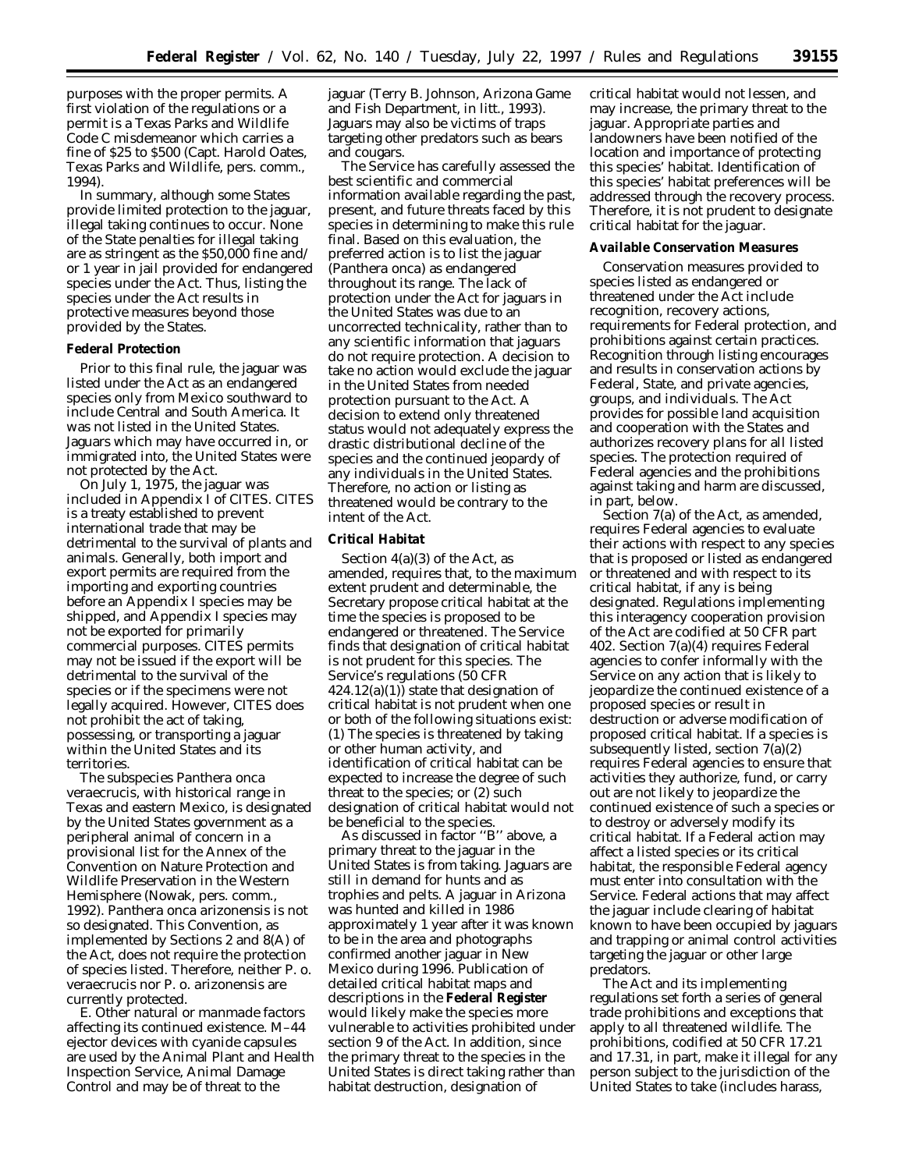purposes with the proper permits. A first violation of the regulations or a permit is a Texas Parks and Wildlife Code C misdemeanor which carries a fine of \$25 to \$500 (Capt. Harold Oates, Texas Parks and Wildlife, pers. comm., 1994).

In summary, although some States provide limited protection to the jaguar, illegal taking continues to occur. None of the State penalties for illegal taking are as stringent as the \$50,000 fine and/ or 1 year in jail provided for endangered species under the Act. Thus, listing the species under the Act results in protective measures beyond those provided by the States.

#### **Federal Protection**

Prior to this final rule, the jaguar was listed under the Act as an endangered species only from Mexico southward to include Central and South America. It was not listed in the United States. Jaguars which may have occurred in, or immigrated into, the United States were not protected by the Act.

On July 1, 1975, the jaguar was included in Appendix I of CITES. CITES is a treaty established to prevent international trade that may be detrimental to the survival of plants and animals. Generally, both import and export permits are required from the importing and exporting countries before an Appendix I species may be shipped, and Appendix I species may not be exported for primarily commercial purposes. CITES permits may not be issued if the export will be detrimental to the survival of the species or if the specimens were not legally acquired. However, CITES does not prohibit the act of taking, possessing, or transporting a jaguar within the United States and its territories.

The subspecies *Panthera onca veraecrucis*, with historical range in Texas and eastern Mexico, is designated by the United States government as a peripheral animal of concern in a provisional list for the Annex of the Convention on Nature Protection and Wildlife Preservation in the Western Hemisphere (Nowak, pers. comm., 1992). *Panthera onca arizonensis* is not so designated. This Convention, as implemented by Sections 2 and 8(A) of the Act, does not require the protection of species listed. Therefore, neither *P*. *o*. *veraecrucis* nor *P*. *o*. *arizonensis* are currently protected.

E. *Other natural or manmade factors affecting its continued existence.* M–44 ejector devices with cyanide capsules are used by the Animal Plant and Health Inspection Service, Animal Damage Control and may be of threat to the

jaguar (Terry B. Johnson, Arizona Game and Fish Department, *in litt*., 1993). Jaguars may also be victims of traps targeting other predators such as bears and cougars.

The Service has carefully assessed the best scientific and commercial information available regarding the past, present, and future threats faced by this species in determining to make this rule final. Based on this evaluation, the preferred action is to list the jaguar (*Panthera onca*) as endangered throughout its range. The lack of protection under the Act for jaguars in the United States was due to an uncorrected technicality, rather than to any scientific information that jaguars do not require protection. A decision to take no action would exclude the jaguar in the United States from needed protection pursuant to the Act. A decision to extend only threatened status would not adequately express the drastic distributional decline of the species and the continued jeopardy of any individuals in the United States. Therefore, no action or listing as threatened would be contrary to the intent of the Act.

# **Critical Habitat**

Section 4(a)(3) of the Act, as amended, requires that, to the maximum extent prudent and determinable, the Secretary propose critical habitat at the time the species is proposed to be endangered or threatened. The Service finds that designation of critical habitat is not prudent for this species. The Service's regulations (50 CFR  $424.12(a)(1)$  state that designation of critical habitat is not prudent when one or both of the following situations exist: (1) The species is threatened by taking or other human activity, and identification of critical habitat can be expected to increase the degree of such threat to the species; or (2) such designation of critical habitat would not be beneficial to the species.

As discussed in factor ''B'' above, a primary threat to the jaguar in the United States is from taking. Jaguars are still in demand for hunts and as trophies and pelts. A jaguar in Arizona was hunted and killed in 1986 approximately 1 year after it was known to be in the area and photographs confirmed another jaguar in New Mexico during 1996. Publication of detailed critical habitat maps and descriptions in the **Federal Register** would likely make the species more vulnerable to activities prohibited under section 9 of the Act. In addition, since the primary threat to the species in the United States is direct taking rather than habitat destruction, designation of

critical habitat would not lessen, and may increase, the primary threat to the jaguar. Appropriate parties and landowners have been notified of the location and importance of protecting this species' habitat. Identification of this species' habitat preferences will be addressed through the recovery process. Therefore, it is not prudent to designate critical habitat for the jaguar.

#### **Available Conservation Measures**

Conservation measures provided to species listed as endangered or threatened under the Act include recognition, recovery actions, requirements for Federal protection, and prohibitions against certain practices. Recognition through listing encourages and results in conservation actions by Federal, State, and private agencies, groups, and individuals. The Act provides for possible land acquisition and cooperation with the States and authorizes recovery plans for all listed species. The protection required of Federal agencies and the prohibitions against taking and harm are discussed, in part, below.

Section 7(a) of the Act, as amended, requires Federal agencies to evaluate their actions with respect to any species that is proposed or listed as endangered or threatened and with respect to its critical habitat, if any is being designated. Regulations implementing this interagency cooperation provision of the Act are codified at 50 CFR part 402. Section 7(a)(4) requires Federal agencies to confer informally with the Service on any action that is likely to jeopardize the continued existence of a proposed species or result in destruction or adverse modification of proposed critical habitat. If a species is subsequently listed, section 7(a)(2) requires Federal agencies to ensure that activities they authorize, fund, or carry out are not likely to jeopardize the continued existence of such a species or to destroy or adversely modify its critical habitat. If a Federal action may affect a listed species or its critical habitat, the responsible Federal agency must enter into consultation with the Service. Federal actions that may affect the jaguar include clearing of habitat known to have been occupied by jaguars and trapping or animal control activities targeting the jaguar or other large predators.

The Act and its implementing regulations set forth a series of general trade prohibitions and exceptions that apply to all threatened wildlife. The prohibitions, codified at 50 CFR 17.21 and 17.31, in part, make it illegal for any person subject to the jurisdiction of the United States to take (includes harass,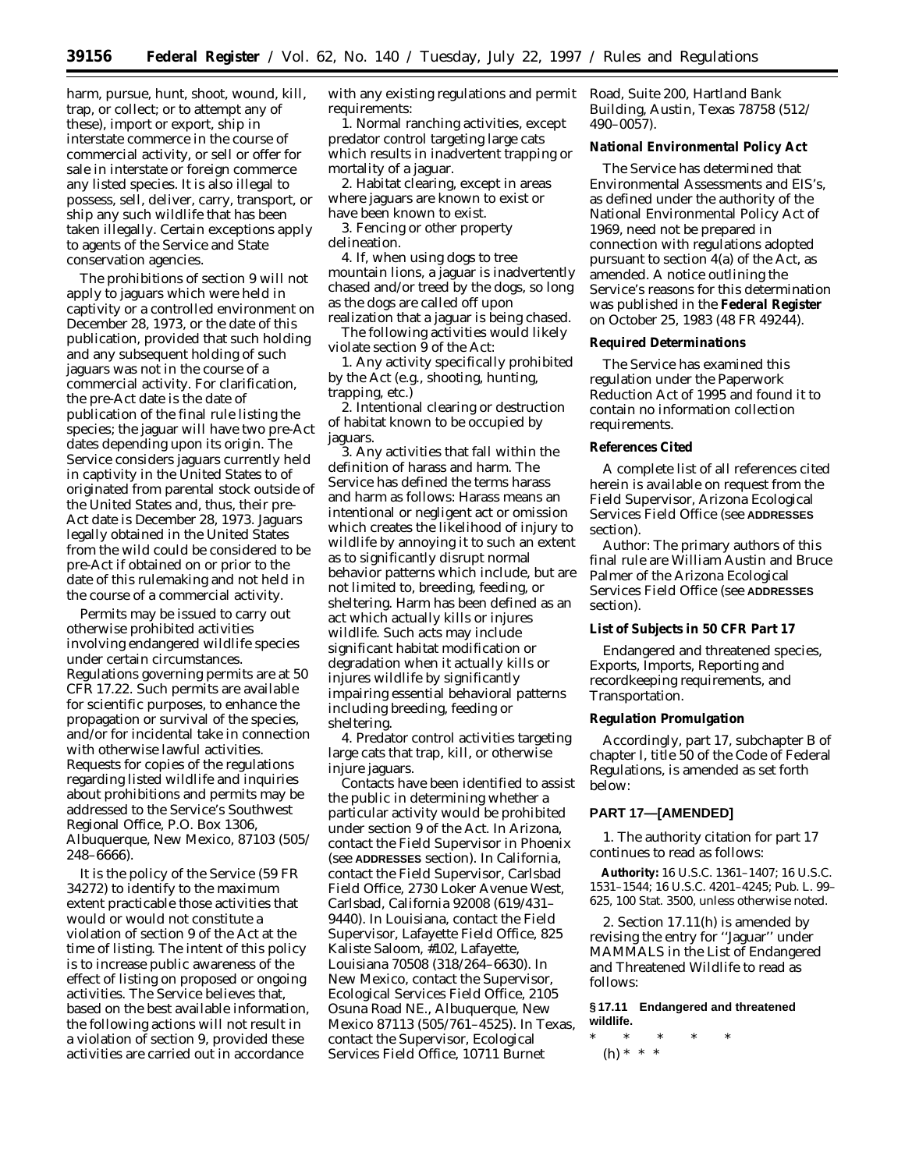harm, pursue, hunt, shoot, wound, kill, trap, or collect; or to attempt any of these), import or export, ship in interstate commerce in the course of commercial activity, or sell or offer for sale in interstate or foreign commerce any listed species. It is also illegal to possess, sell, deliver, carry, transport, or ship any such wildlife that has been taken illegally. Certain exceptions apply to agents of the Service and State conservation agencies.

The prohibitions of section 9 will not apply to jaguars which were held in captivity or a controlled environment on December 28, 1973, or the date of this publication, provided that such holding and any subsequent holding of such jaguars was not in the course of a commercial activity. For clarification, the pre-Act date is the date of publication of the final rule listing the species; the jaguar will have two pre-Act dates depending upon its origin. The Service considers jaguars currently held in captivity in the United States to of originated from parental stock outside of the United States and, thus, their pre-Act date is December 28, 1973. Jaguars legally obtained in the United States from the wild could be considered to be pre-Act if obtained on or prior to the date of this rulemaking and not held in the course of a commercial activity.

Permits may be issued to carry out otherwise prohibited activities involving endangered wildlife species under certain circumstances. Regulations governing permits are at 50 CFR 17.22. Such permits are available for scientific purposes, to enhance the propagation or survival of the species, and/or for incidental take in connection with otherwise lawful activities. Requests for copies of the regulations regarding listed wildlife and inquiries about prohibitions and permits may be addressed to the Service's Southwest Regional Office, P.O. Box 1306, Albuquerque, New Mexico, 87103 (505/ 248–6666).

It is the policy of the Service (59 FR 34272) to identify to the maximum extent practicable those activities that would or would not constitute a violation of section 9 of the Act at the time of listing. The intent of this policy is to increase public awareness of the effect of listing on proposed or ongoing activities. The Service believes that, based on the best available information, the following actions will not result in a violation of section 9, provided these activities are carried out in accordance

with any existing regulations and permit requirements:

1. Normal ranching activities, except predator control targeting large cats which results in inadvertent trapping or mortality of a jaguar.

2. Habitat clearing, except in areas where jaguars are known to exist or have been known to exist.

3. Fencing or other property delineation.

4. If, when using dogs to tree mountain lions, a jaguar is inadvertently chased and/or treed by the dogs, so long as the dogs are called off upon realization that a jaguar is being chased.

The following activities would likely violate section 9 of the Act:

1. Any activity specifically prohibited by the Act (e.g., shooting, hunting, trapping, etc.)

2. Intentional clearing or destruction of habitat known to be occupied by jaguars.

3. Any activities that fall within the definition of harass and harm. The Service has defined the terms harass and harm as follows: Harass means an intentional or negligent act or omission which creates the likelihood of injury to wildlife by annoying it to such an extent as to significantly disrupt normal behavior patterns which include, but are not limited to, breeding, feeding, or sheltering. Harm has been defined as an act which actually kills or injures wildlife. Such acts may include significant habitat modification or degradation when it actually kills or injures wildlife by significantly impairing essential behavioral patterns including breeding, feeding or sheltering.

4. Predator control activities targeting large cats that trap, kill, or otherwise injure jaguars.

Contacts have been identified to assist the public in determining whether a particular activity would be prohibited under section 9 of the Act. In Arizona, contact the Field Supervisor in Phoenix (see **ADDRESSES** section). In California, contact the Field Supervisor, Carlsbad Field Office, 2730 Loker Avenue West, Carlsbad, California 92008 (619/431– 9440). In Louisiana, contact the Field Supervisor, Lafayette Field Office, 825 Kaliste Saloom, #102, Lafayette, Louisiana 70508 (318/264–6630). In New Mexico, contact the Supervisor, Ecological Services Field Office, 2105 Osuna Road NE., Albuquerque, New Mexico 87113 (505/761–4525). In Texas, contact the Supervisor, Ecological Services Field Office, 10711 Burnet

Road, Suite 200, Hartland Bank Building, Austin, Texas 78758 (512/ 490–0057).

# **National Environmental Policy Act**

The Service has determined that Environmental Assessments and EIS's, as defined under the authority of the National Environmental Policy Act of 1969, need not be prepared in connection with regulations adopted pursuant to section 4(a) of the Act, as amended. A notice outlining the Service's reasons for this determination was published in the **Federal Register** on October 25, 1983 (48 FR 49244).

## **Required Determinations**

The Service has examined this regulation under the Paperwork Reduction Act of 1995 and found it to contain no information collection requirements.

#### **References Cited**

A complete list of all references cited herein is available on request from the Field Supervisor, Arizona Ecological Services Field Office (see **ADDRESSES** section).

*Author:* The primary authors of this final rule are William Austin and Bruce Palmer of the Arizona Ecological Services Field Office (see **ADDRESSES** section).

#### **List of Subjects in 50 CFR Part 17**

Endangered and threatened species, Exports, Imports, Reporting and recordkeeping requirements, and Transportation.

#### **Regulation Promulgation**

Accordingly, part 17, subchapter B of chapter I, title 50 of the Code of Federal Regulations, is amended as set forth below:

# **PART 17—[AMENDED]**

1. The authority citation for part 17 continues to read as follows:

**Authority:** 16 U.S.C. 1361–1407; 16 U.S.C. 1531–1544; 16 U.S.C. 4201–4245; Pub. L. 99– 625, 100 Stat. 3500, unless otherwise noted.

2. Section 17.11(h) is amended by revising the entry for ''Jaguar'' under MAMMALS in the List of Endangered and Threatened Wildlife to read as follows:

**§ 17.11 Endangered and threatened wildlife.**

\* \* \* \* \* (h) \* \* \*